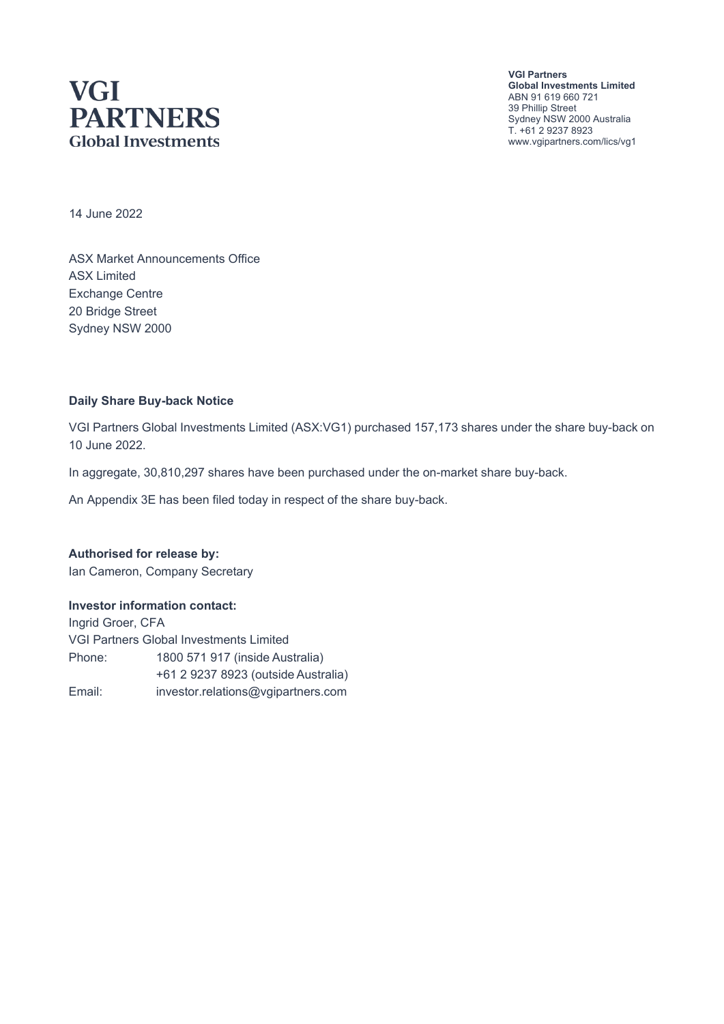# **VGI PARTNERS Global Investments**

**VGI Partners Global Investments Limited** ABN 91 619 660 721 39 Phillip Street Sydney NSW 2000 Australia T. +61 2 9237 8923 www.vgipartners.com/lics/vg1

14 June 2022

ASX Market Announcements Office ASX Limited Exchange Centre 20 Bridge Street Sydney NSW 2000

#### **Daily Share Buy-back Notice**

VGI Partners Global Investments Limited (ASX:VG1) purchased 157,173 shares under the share buy-back on 10 June 2022.

In aggregate, 30,810,297 shares have been purchased under the on-market share buy-back.

An Appendix 3E has been filed today in respect of the share buy-back.

**Authorised for release by:** Ian Cameron, Company Secretary

#### **Investor information contact:**

Ingrid Groer, CFA VGI Partners Global Investments Limited Phone: 1800 571 917 (inside Australia) +61 2 9237 8923 (outside Australia) Email: investor.relations@vgipartners.com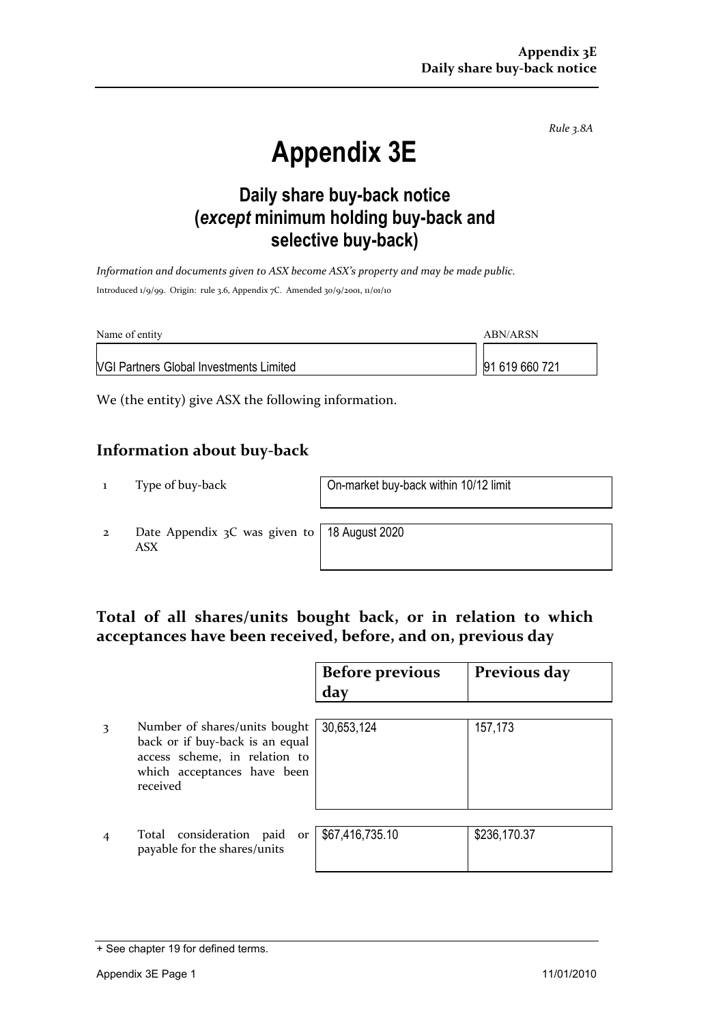*Rule 3.8A*

# **Appendix 3E**

## **Daily share buy-back notice (***except* **minimum holding buy-back and selective buy-back)**

*Information and documents given to ASX become ASX's property and may be made public.* Introduced 1/9/99. Origin: rule 3.6, Appendix 7C. Amended 30/9/2001, 11/01/10

| Name of entity                                 | ABN/ARSN       |  |
|------------------------------------------------|----------------|--|
| <b>NGI Partners Global Investments Limited</b> | 91 619 660 721 |  |

We (the entity) give ASX the following information.

#### **Information about buy-back**

1 Type of buy-back On-market buy-back within 10/12 limit

2 Date Appendix 3C was given to ASX

18 August 2020

#### **Total of all shares/units bought back, or in relation to which acceptances have been received, before, and on, previous day**

|   |                                                                                                                                              | <b>Before previous</b><br>day | Previous day |
|---|----------------------------------------------------------------------------------------------------------------------------------------------|-------------------------------|--------------|
| 3 | Number of shares/units bought<br>back or if buy-back is an equal<br>access scheme, in relation to<br>which acceptances have been<br>received | 30,653,124                    | 157,173      |
|   | Total consideration paid<br>or<br>payable for the shares/units                                                                               | \$67,416,735.10               | \$236,170.37 |

<sup>+</sup> See chapter 19 for defined terms.